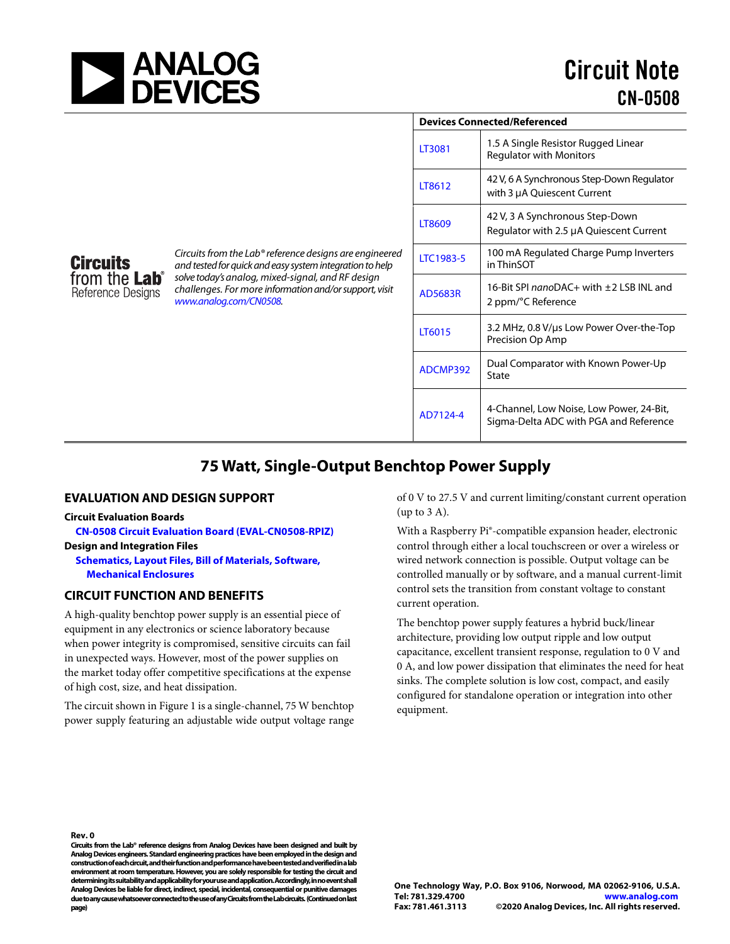

|                                                                                                                                                                                                                                                              | <b>Devices Connected/Referenced</b> |                                                                                    |
|--------------------------------------------------------------------------------------------------------------------------------------------------------------------------------------------------------------------------------------------------------------|-------------------------------------|------------------------------------------------------------------------------------|
|                                                                                                                                                                                                                                                              | LT3081                              | 1.5 A Single Resistor Rugged Linear<br><b>Regulator with Monitors</b>              |
|                                                                                                                                                                                                                                                              | LT8612                              | 42 V, 6 A Synchronous Step-Down Regulator<br>with 3 µA Quiescent Current           |
|                                                                                                                                                                                                                                                              | LT8609                              | 42 V, 3 A Synchronous Step-Down<br>Regulator with 2.5 µA Quiescent Current         |
| Circuits from the Lab® reference designs are engineered<br>and tested for quick and easy system integration to help<br>solve today's analog, mixed-signal, and RF design<br>challenges. For more information and/or support, visit<br>www.analog.com/CN0508. | <b>LTC1983-5</b>                    | 100 mA Regulated Charge Pump Inverters<br>in ThinSOT                               |
|                                                                                                                                                                                                                                                              | <b>AD5683R</b>                      | 16-Bit SPI nanoDAC+ with ±2 LSB INL and<br>2 ppm/°C Reference                      |
|                                                                                                                                                                                                                                                              | LT6015                              | 3.2 MHz, 0.8 V/us Low Power Over-the-Top<br>Precision Op Amp                       |
|                                                                                                                                                                                                                                                              | ADCMP392                            | Dual Comparator with Known Power-Up<br>State                                       |
|                                                                                                                                                                                                                                                              | AD7124-4                            | 4-Channel, Low Noise, Low Power, 24-Bit,<br>Sigma-Delta ADC with PGA and Reference |

# **75 Watt, Single-Output Benchtop Power Supply**

# **EVALUATION AND DESIGN SUPPORT**

#### **Circuit Evaluation Boards**

**Circuits** 

from the Lab<sup>®</sup> Reference Designs

**[CN-0508 Circuit Evaluation Board \(EVAL-CN0508-RPIZ\)](https://www.analog.com/en/design-center/reference-designs/circuits-from-the-lab/cn0508?doc=cn0508.pdf)** 

**Design and Integration Files [Schematics, Layout Files, Bill of Materials, Software,](https://www.analog.com/media/en/reference-design-documentation/design-integration-files/CN0508-DesignSupport.zip)** 

**[Mechanical Enclosures](https://www.analog.com/media/en/reference-design-documentation/design-integration-files/CN0508-DesignSupport.zip)** 

# **CIRCUIT FUNCTION AND BENEFITS**

A high-quality benchtop power supply is an essential piece of equipment in any electronics or science laboratory because when power integrity is compromised, sensitive circuits can fail in unexpected ways. However, most of the power supplies on the market today offer competitive specifications at the expense of high cost, size, and heat dissipation.

The circuit shown i[n Figure 1 i](#page-1-0)s a single-channel, 75 W benchtop power supply featuring an adjustable wide output voltage range

of 0 V to 27.5 V and current limiting/constant current operation (up to 3 A).

With a Raspberry Pi®-compatible expansion header, electronic control through either a local touchscreen or over a wireless or wired network connection is possible. Output voltage can be controlled manually or by software, and a manual current-limit control sets the transition from constant voltage to constant current operation.

The benchtop power supply features a hybrid buck/linear architecture, providing low output ripple and low output capacitance, excellent transient response, regulation to 0 V and 0 A, and low power dissipation that eliminates the need for heat sinks. The complete solution is low cost, compact, and easily configured for standalone operation or integration into other equipment.

**Rev. 0** 

**Circuits from the Lab® reference designs from Analog Devices have been designed and built by Analog Devices engineers. Standard engineering practices have been employed in the design and construction of each circuit, and their function and performance have been tested and verified in a lab environment at room temperature. However, you are solely responsible for testing the circuit and determining its suitability and applicability for your use and application. Accordingly, in no event shall Analog Devices be liable for direct, indirect, special, incidental, consequential or punitive damages due to any cause whatsoever connected to the use of any Circuits from the Lab circuits. (Continued on last page)**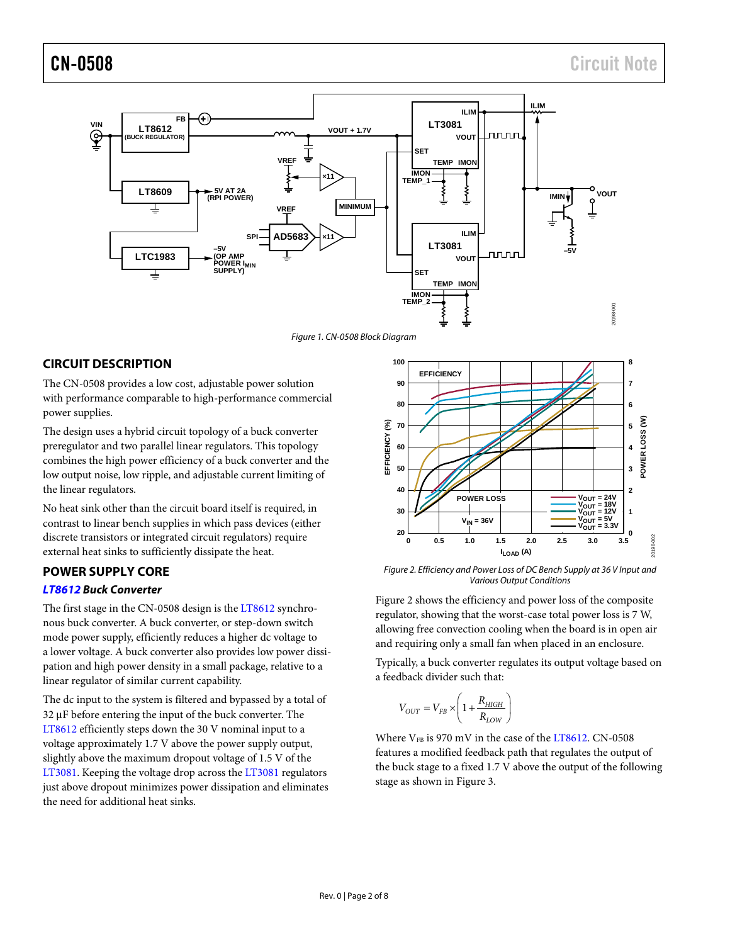

*Figure 1. CN-0508 Block Diagram*

# <span id="page-1-0"></span>**CIRCUIT DESCRIPTION**

The CN-0508 provides a low cost, adjustable power solution with performance comparable to high-performance commercial power supplies.

The design uses a hybrid circuit topology of a buck converter preregulator and two parallel linear regulators. This topology combines the high power efficiency of a buck converter and the low output noise, low ripple, and adjustable current limiting of the linear regulators.

No heat sink other than the circuit board itself is required, in contrast to linear bench supplies in which pass devices (either discrete transistors or integrated circuit regulators) require external heat sinks to sufficiently dissipate the heat.

# **POWER SUPPLY CORE**

### *[LT8612](https://www.analog.com/LT8612?doc=cn0508.pdf) Buck Converter*

The first stage in the CN-0508 design is the [LT8612](https://www.analog.com/LT8612?doc=cn0508.pdf) synchronous buck converter. A buck converter, or step-down switch mode power supply, efficiently reduces a higher dc voltage to a lower voltage. A buck converter also provides low power dissipation and high power density in a small package, relative to a linear regulator of similar current capability.

The dc input to the system is filtered and bypassed by a total of 32 μF before entering the input of the buck converter. The [LT8612](https://www.analog.com/LT8612?doc=cn0508.pdf) efficiently steps down the 30 V nominal input to a voltage approximately 1.7 V above the power supply output, slightly above the maximum dropout voltage of 1.5 V of the [LT3081.](https://www.analog.com/LT3081?doc=cn0508.pdf) Keeping the voltage drop across th[e LT3081](https://www.analog.com/LT3081?doc=cn0508.pdf) regulators just above dropout minimizes power dissipation and eliminates the need for additional heat sinks.



<span id="page-1-1"></span>*Figure 2. Efficiency and Power Loss of DC Bench Supply at 36 V Input and Various Output Conditions*

[Figure 2](#page-1-1) shows the efficiency and power loss of the composite regulator, showing that the worst-case total power loss is 7 W, allowing free convection cooling when the board is in open air and requiring only a small fan when placed in an enclosure.

Typically, a buck converter regulates its output voltage based on a feedback divider such that:

$$
V_{OUT} = V_{FB} \times \left(1 + \frac{R_{HIGH}}{R_{LOW}}\right)
$$

Where  $V_{FB}$  is 970 mV in the case of th[e LT8612.](https://www.analog.com/LT8612?doc=cn0508.pdf) CN-0508 features a modified feedback path that regulates the output of the buck stage to a fixed 1.7 V above the output of the following stage as shown in [Figure 3.](#page-2-0)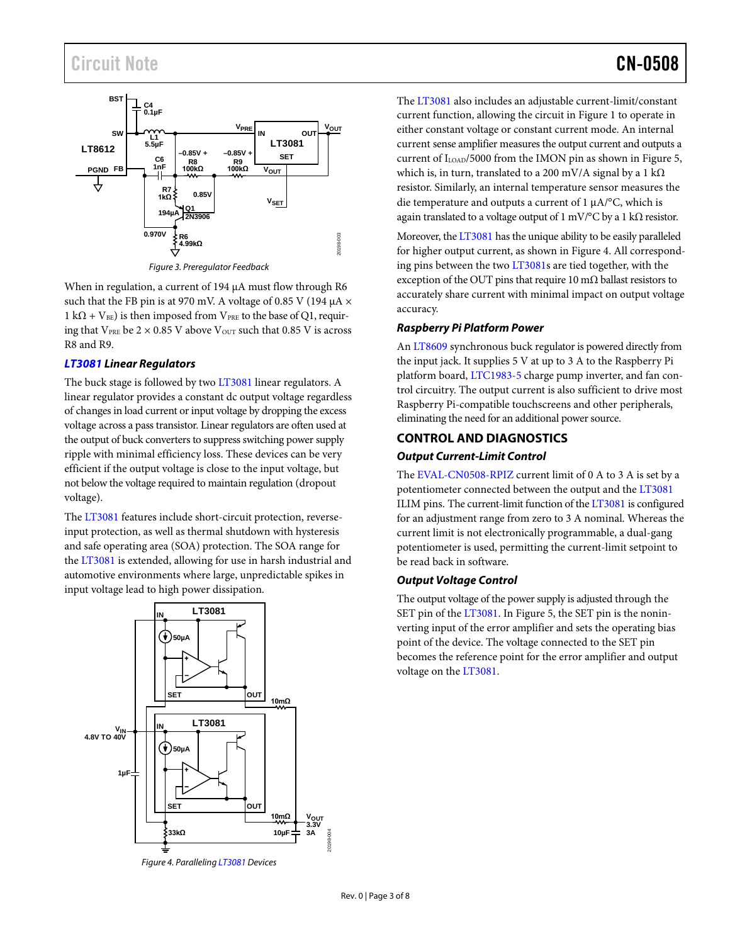# Circuit Note **CN-0508**



*Figure 3. Preregulator Feedback*

<span id="page-2-0"></span>When in regulation, a current of 194 μA must flow through R6 such that the FB pin is at 970 mV. A voltage of 0.85 V (194  $\mu$ A  $\times$  $1 k\Omega + V_{BE}$ ) is then imposed from V<sub>PRE</sub> to the base of Q1, requiring that  $V_{PRE}$  be  $2 \times 0.85$  V above  $V_{OUT}$  such that 0.85 V is across R8 and R9.

#### *[LT3081 L](https://www.analog.com/LT3081?doc=cn0508.pdf)inear Regulators*

The buck stage is followed by tw[o LT3081](https://www.analog.com/LT3081?doc=cn0508.pdf) linear regulators. A linear regulator provides a constant dc output voltage regardless of changes in load current or input voltage by dropping the excess voltage across a pass transistor. Linear regulators are often used at the output of buck converters to suppress switching power supply ripple with minimal efficiency loss. These devices can be very efficient if the output voltage is close to the input voltage, but not below the voltage required to maintain regulation (dropout voltage).

The [LT3081](https://www.analog.com/LT3081?doc=cn0508.pdf) features include short-circuit protection, reverseinput protection, as well as thermal shutdown with hysteresis and safe operating area (SOA) protection. The SOA range for th[e LT3081](https://www.analog.com/LT3081?doc=cn0508.pdf) is extended, allowing for use in harsh industrial and automotive environments where large, unpredictable spikes in input voltage lead to high power dissipation.

<span id="page-2-1"></span>

The [LT3081 a](https://www.analog.com/LT3081?doc=cn0508.pdf)lso includes an adjustable current-limit/constant current function, allowing the circuit i[n Figure 1](#page-1-0) to operate in either constant voltage or constant current mode. An internal current sense amplifier measures the output current and outputs a current of I<sub>LOAD</sub>/5000 from the IMON pin as shown in [Figure 5,](#page-3-0) which is, in turn, translated to a 200 mV/A signal by a 1 k $\Omega$ resistor. Similarly, an internal temperature sensor measures the die temperature and outputs a current of 1 μA/°C, which is again translated to a voltage output of 1 mV/°C by a 1 k $\Omega$  resistor.

Moreover, th[e LT3081](https://www.analog.com/LT3081?doc=cn0508.pdf) has the unique ability to be easily paralleled for higher output current, as shown i[n Figure 4.](#page-2-1) All corresponding pins between the two [LT3081s](https://www.analog.com/LT3081?doc=cn0508.pdf) are tied together, with the exception of the OUT pins that require 10 m $\Omega$  ballast resistors to accurately share current with minimal impact on output voltage accuracy.

# *Raspberry Pi Platform Power*

An [LT8609](https://www.analog.com/LT8609?doc=cn0522.pdf) synchronous buck regulator is powered directly from the input jack. It supplies 5 V at up to 3 A to the Raspberry Pi platform board, [LTC1983-5](https://www.analog.com/LTC1983?doc=cn0508.pdf) charge pump inverter, and fan control circuitry. The output current is also sufficient to drive most Raspberry Pi-compatible touchscreens and other peripherals, eliminating the need for an additional power source.

# **CONTROL AND DIAGNOSTICS**

# *Output Current-Limit Control*

The [EVAL-CN0508-RPIZ](https://www.analog.com/en/design-center/reference-designs/circuits-from-the-lab/cn0508?doc=cn0508.pdf) current limit of 0 A to 3 A is set by a potentiometer connected between the output and th[e LT3081](https://www.analog.com/LT3081?doc=cn0508.pdf) ILIM pins. The current-limit function of th[e LT3081](https://www.analog.com/LT3081?doc=cn0508.pdf) is configured for an adjustment range from zero to 3 A nominal. Whereas the current limit is not electronically programmable, a dual-gang potentiometer is used, permitting the current-limit setpoint to be read back in software.

#### *Output Voltage Control*

The output voltage of the power supply is adjusted through the SET pin of th[e LT3081.](https://www.analog.com/LT3081?doc=cn0508.pdf) In [Figure 5,](#page-3-0) the SET pin is the noninverting input of the error amplifier and sets the operating bias point of the device. The voltage connected to the SET pin becomes the reference point for the error amplifier and output voltage on th[e LT3081.](https://www.analog.com/LT3081?doc=cn0508.pdf)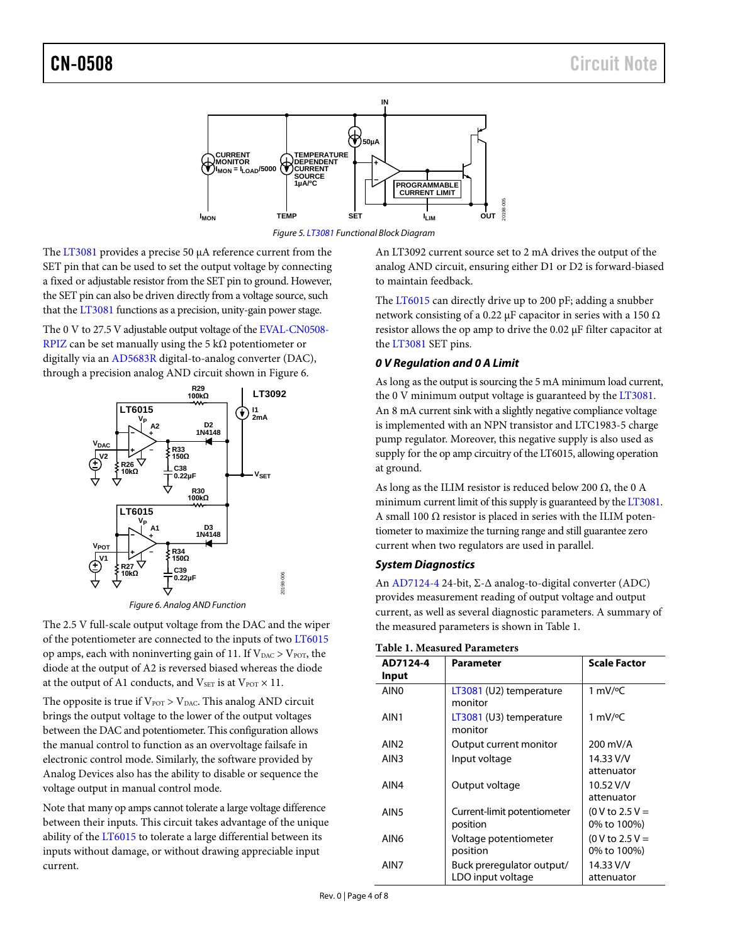

*Figure 5[. LT3081](https://www.analog.com/LT3081?doc=cn0508.pdf) Functional Block Diagram*

<span id="page-3-0"></span>The [LT3081](https://www.analog.com/LT3081?doc=cn0508.pdf) provides a precise 50 μA reference current from the SET pin that can be used to set the output voltage by connecting a fixed or adjustable resistor from the SET pin to ground. However, the SET pin can also be driven directly from a voltage source, such that the [LT3081](https://www.analog.com/LT3081?doc=cn0508.pdf) functions as a precision, unity-gain power stage.

The 0 V to 27.5 V adjustable output voltage of th[e EVAL-CN0508-](https://www.analog.com/en/design-center/reference-designs/circuits-from-the-lab/cn0508?doc=cn0508.pdf) [RPIZ](https://www.analog.com/en/design-center/reference-designs/circuits-from-the-lab/cn0508?doc=cn0508.pdf) can be set manually using the 5 k $\Omega$  potentiometer or digitally via an [AD5683R](https://www.analog.com/AD5683R?doc=cn0508.pdf) digital-to-analog converter (DAC), through a precision analog AND circuit shown in [Figure 6.](#page-3-1)



<span id="page-3-1"></span>The 2.5 V full-scale output voltage from the DAC and the wiper of the potentiometer are connected to the inputs of tw[o LT6015](https://www.analog.com/LT6015?doc=cn0508.pdf) op amps, each with noninverting gain of 11. If  $V_{\text{DAC}} > V_{\text{POT}}$ , the diode at the output of A2 is reversed biased whereas the diode at the output of A1 conducts, and  $V_{\text{SET}}$  is at  $V_{\text{POT}} \times 11$ .

The opposite is true if  $V_{POT} > V_{DAC}$ . This analog AND circuit brings the output voltage to the lower of the output voltages between the DAC and potentiometer. This configuration allows the manual control to function as an overvoltage failsafe in electronic control mode. Similarly, the software provided by Analog Devices also has the ability to disable or sequence the voltage output in manual control mode.

Note that many op amps cannot tolerate a large voltage difference between their inputs. This circuit takes advantage of the unique ability of the  $LT6015$  to tolerate a large differential between its inputs without damage, or without drawing appreciable input current.

An LT3092 current source set to 2 mA drives the output of the analog AND circuit, ensuring either D1 or D2 is forward-biased to maintain feedback.

The [LT6015](https://www.analog.com/LT6015?doc=cn0508.pdf) can directly drive up to 200 pF; adding a snubber network consisting of a 0.22 μF capacitor in series with a 150  $\Omega$ resistor allows the op amp to drive the 0.02 μF filter capacitor at th[e LT3081](https://www.analog.com/LT3081?doc=cn0508.pdf) SET pins.

# *0 V Regulation and 0 A Limit*

As long as the output is sourcing the 5 mA minimum load current, the 0 V minimum output voltage is guaranteed by th[e LT3081.](https://www.analog.com/LT3081?doc=cn0508.pdf) An 8 mA current sink with a slightly negative compliance voltage is implemented with an NPN transistor and LTC1983-5 charge pump regulator. Moreover, this negative supply is also used as supply for the op amp circuitry of the LT6015, allowing operation at ground.

As long as the ILIM resistor is reduced below 200  $\Omega$ , the 0 A minimum current limit of this supply is guaranteed by th[e LT3081.](https://www.analog.com/LT3081?doc=cn0508.pdf)  A small 100  $\Omega$  resistor is placed in series with the ILIM potentiometer to maximize the turning range and still guarantee zero current when two regulators are used in parallel.

# *System Diagnostics*

An [AD7124-4](https://www.analog.com/AD7124-4?doc=cn0508.pdf) 24-bit, Σ-Δ analog-to-digital converter (ADC) provides measurement reading of output voltage and output current, as well as several diagnostic parameters. A summary of the measured parameters is shown in [Table 1.](#page-3-2)

| AD7124-4         | Parameter                          | <b>Scale Factor</b> |
|------------------|------------------------------------|---------------------|
| Input            |                                    |                     |
| AIN <sub>0</sub> | LT3081 (U2) temperature<br>monitor | 1 mV/ $\degree$ C   |
| AIN1             | LT3081 (U3) temperature<br>monitor | 1 mV/ $\degree$ C   |
| AIN <sub>2</sub> | Output current monitor             | 200 mV/A            |
| AIN3             | Input voltage                      | 14.33 V/V           |
|                  |                                    | attenuator          |
| AIN4             | Output voltage                     | 10.52 V/V           |
|                  |                                    | attenuator          |
| AIN5             | Current-limit potentiometer        | $(0 V to 2.5 V =$   |
|                  | position                           | 0% to 100%)         |
| AIN6             | Voltage potentiometer              | $(0 V to 2.5 V =$   |
|                  | position                           | 0% to 100%)         |
| AIN7             | Buck preregulator output/          | 14.33 V/V           |
|                  | LDO input voltage                  | attenuator          |

<span id="page-3-2"></span>**Table 1. Measured Parameters**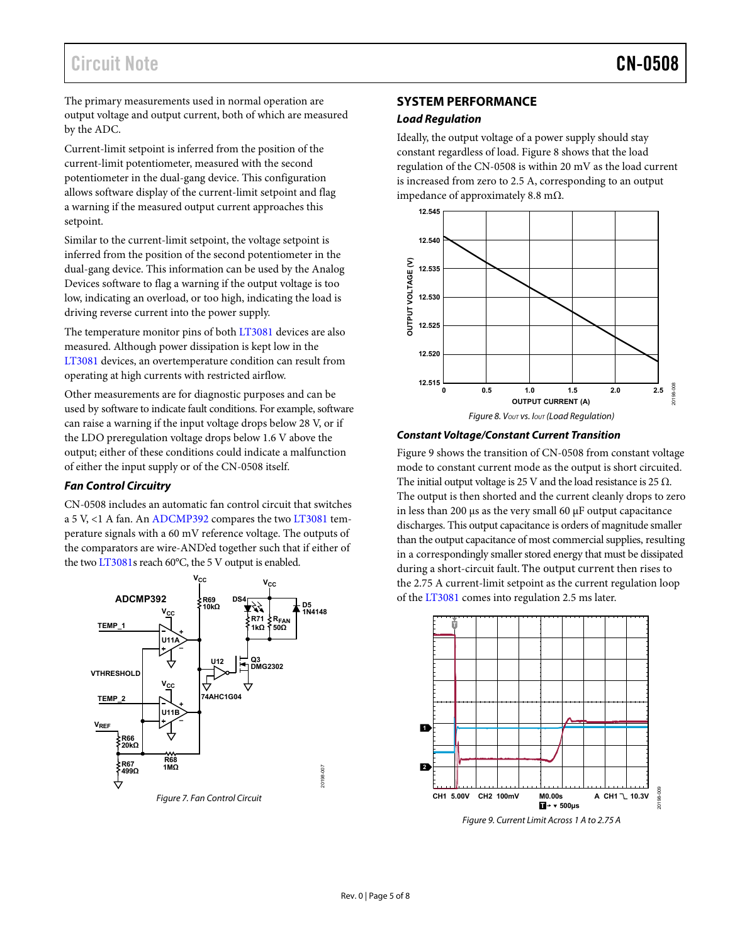# Circuit Note **CN-0508**

The primary measurements used in normal operation are output voltage and output current, both of which are measured by the ADC.

Current-limit setpoint is inferred from the position of the current-limit potentiometer, measured with the second potentiometer in the dual-gang device. This configuration allows software display of the current-limit setpoint and flag a warning if the measured output current approaches this setpoint.

Similar to the current-limit setpoint, the voltage setpoint is inferred from the position of the second potentiometer in the dual-gang device. This information can be used by the Analog Devices software to flag a warning if the output voltage is too low, indicating an overload, or too high, indicating the load is driving reverse current into the power supply.

The temperature monitor pins of bot[h LT3081](https://www.analog.com/LT3081?doc=cn0508.pdf) devices are also measured. Although power dissipation is kept low in the [LT3081 d](https://www.analog.com/LT3081?doc=cn0508.pdf)evices, an overtemperature condition can result from operating at high currents with restricted airflow.

Other measurements are for diagnostic purposes and can be used by software to indicate fault conditions. For example, software can raise a warning if the input voltage drops below 28 V, or if the LDO preregulation voltage drops below 1.6 V above the output; either of these conditions could indicate a malfunction of either the input supply or of the CN-0508 itself.

# **Fan Control Circuitry**

CN-0508 includes an automatic fan control circuit that switches a 5 V, <1 A fan. A[n ADCMP392](https://www.analog.com/ADCMP392?doc=cn0508.pdf) compares the tw[o LT3081](https://www.analog.com/LT3081?doc=cn0508.pdf) temperature signals with a 60 mV reference voltage. The outputs of the comparators are wire-AND'ed together such that if either of the tw[o LT3081s](https://www.analog.com/LT3081?doc=cn0508.pdf) reach 60°C, the 5 V output is enabled.



#### Figure 7. Fan Control Circuit

### **SYSTEM PERFORMANCE**

#### **Load Regulation**

Ideally, the output voltage of a power supply should stay constant regardless of load. [Figure 8](#page-4-0) shows that the load regulation of the CN-0508 is within 20 mV as the load current is increased from zero to 2.5 A, corresponding to an output impedance of approximately 8.8 mΩ.



#### <span id="page-4-0"></span>**Constant Voltage/Constant Current Transition**

[Figure 9](#page-4-1) shows the transition of CN-0508 from constant voltage mode to constant current mode as the output is short circuited. The initial output voltage is 25 V and the load resistance is 25  $\Omega$ . The output is then shorted and the current cleanly drops to zero in less than 200 μs as the very small 60 μF output capacitance discharges. This output capacitance is orders of magnitude smaller than the output capacitance of most commercial supplies, resulting in a correspondingly smaller stored energy that must be dissipated during a short-circuit fault. The output current then rises to the 2.75 A current-limit setpoint as the current regulation loop of the [LT3081 c](https://www.analog.com/LT3081?doc=cn0508.pdf)omes into regulation 2.5 ms later.



<span id="page-4-1"></span>Figure 9. Current Limit Across 1 A to 2.75 A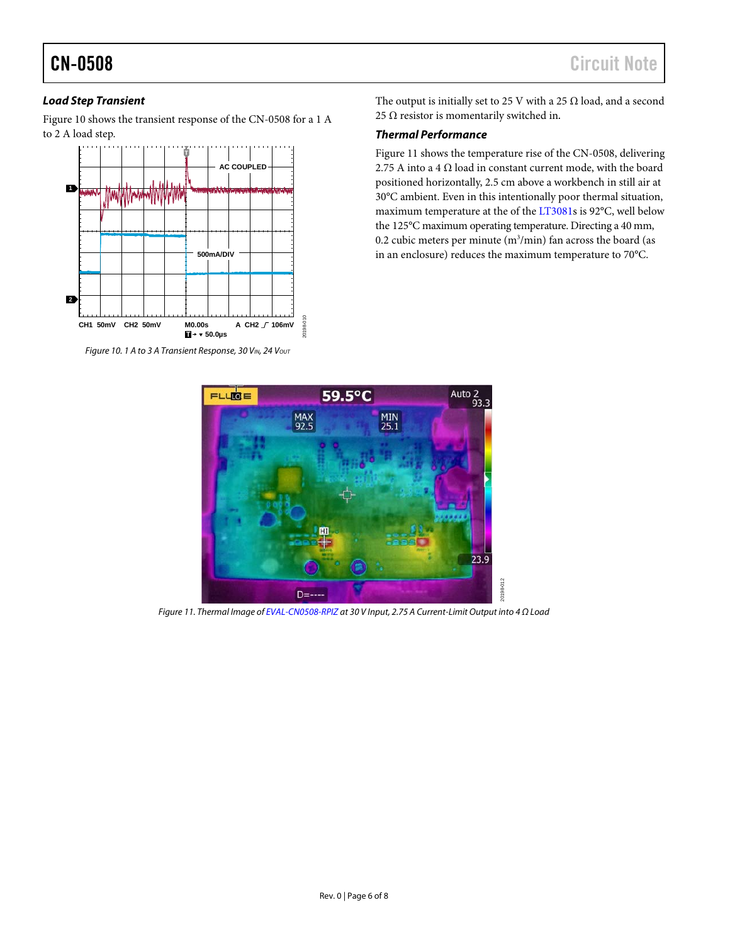# *Load Step Transient*

[Figure 10](#page-5-0) shows the transient response of the CN-0508 for a 1 A to 2 A load step.



<span id="page-5-0"></span>*Figure 10. 1 A to 3 A Transient Response, 30 VIN, 24 Vout* 

The output is initially set to 25 V with a 25  $\Omega$  load, and a second 25  $\Omega$  resistor is momentarily switched in.

# *Thermal Performance*

[Figure 11](#page-5-1) shows the temperature rise of the CN-0508, delivering 2.75 A into a 4  $\Omega$  load in constant current mode, with the board positioned horizontally, 2.5 cm above a workbench in still air at 30°C ambient. Even in this intentionally poor thermal situation, maximum temperature at the of th[e LT3081s](https://www.analog.com/LT3081?doc=cn0508.pdf) is 92°C, well below the 125°C maximum operating temperature. Directing a 40 mm, 0.2 cubic meters per minute (m3 /min) fan across the board (as in an enclosure) reduces the maximum temperature to 70°C.



<span id="page-5-1"></span>*Figure 11. Thermal Image o[f EVAL-CN0508-RPIZ](https://www.analog.com/en/design-center/reference-designs/circuits-from-the-lab/cn0508?doc=cn0508.pdf) at 30 V Input, 2.75 A Current-Limit Output into 4 Ω Load*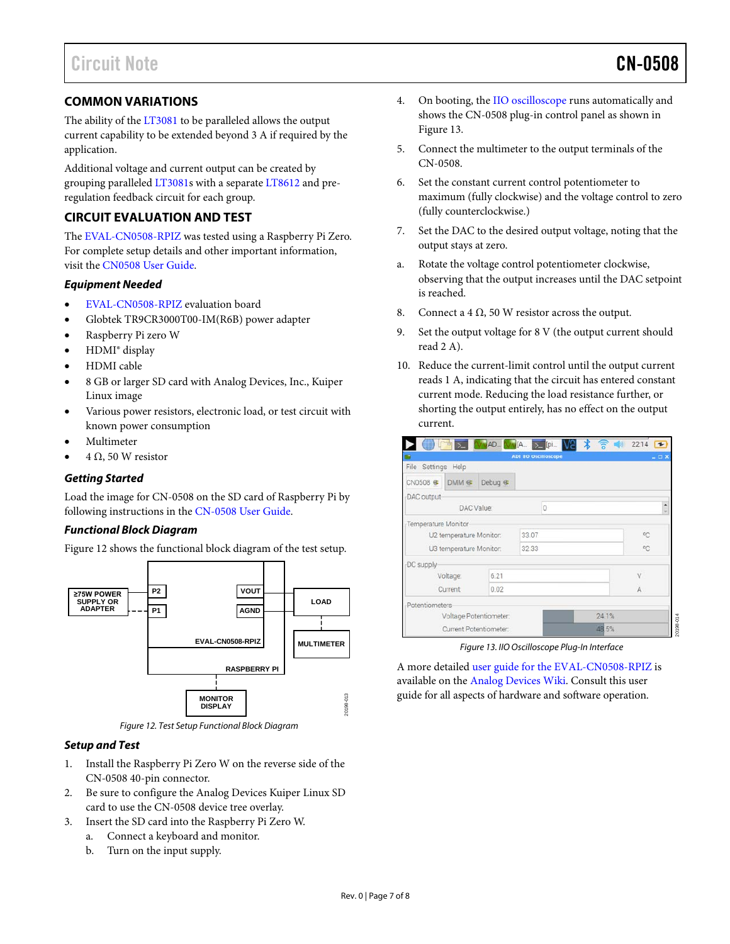# **COMMON VARIATIONS**

The ability of th[e LT3081](https://www.analog.com/LT3081?doc=cn0508.pdf) to be paralleled allows the output current capability to be extended beyond 3 A if required by the application.

Additional voltage and current output can be created by grouping paralleled [LT3081s](https://www.analog.com/LT3081?doc=cn0508.pdf) with a separate [LT8612](https://www.analog.com/LT8612?doc=cn0508.pdf) and preregulation feedback circuit for each group.

# **CIRCUIT EVALUATION AND TEST**

The [EVAL-CN0508-RPIZ](https://www.analog.com/en/design-center/reference-designs/circuits-from-the-lab/cn0508?doc=cn0508.pdf) was tested using a Raspberry Pi Zero. For complete setup details and other important information, visit the [CN0508 User Guide.](https://wiki.analog.com/resources/eval/user-guides/circuits-from-the-lab/cn0508)

# *Equipment Needed*

- [EVAL-CN0508-RPIZ](https://www.analog.com/en/design-center/reference-designs/circuits-from-the-lab/cn0508?doc=cn0508.pdf) evaluation board
- Globtek TR9CR3000T00-IM(R6B) power adapter
- Raspberry Pi zero W
- HDMI® display
- HDMI cable
- 8 GB or larger SD card with Analog Devices, Inc., Kuiper Linux image
- Various power resistors, electronic load, or test circuit with known power consumption
- Multimeter
- 4 Ω, 50 W resistor

# *Getting Started*

Load the image for CN-0508 on the SD card of Raspberry Pi by following instructions in the CN-0508 [User Guide.](https://wiki.analog.com/resources/eval/user-guides/circuits-from-the-lab/cn0508)

# *Functional Block Diagram*

[Figure 12](#page-6-0) shows the functional block diagram of the test setup.



*Figure 12. Test Setup Functional Block Diagram*

# <span id="page-6-0"></span>*Setup and Test*

- 1. Install the Raspberry Pi Zero W on the reverse side of the CN-0508 40-pin connector.
- 2. Be sure to configure the Analog Devices Kuiper Linux SD card to use the CN-0508 device tree overlay.
- 3. Insert the SD card into the Raspberry Pi Zero W.
	- a. Connect a keyboard and monitor.
	- b. Turn on the input supply.
- 4. On booting, th[e IIO oscilloscope](https://wiki.analog.com/resources/tools-software/linux-software/iio_oscilloscope?doc=cn0508.pdf) runs automatically and shows the CN-0508 plug-in control panel as shown in [Figure 13.](#page-6-1)
- 5. Connect the multimeter to the output terminals of the CN-0508.
- 6. Set the constant current control potentiometer to maximum (fully clockwise) and the voltage control to zero (fully counterclockwise.)
- 7. Set the DAC to the desired output voltage, noting that the output stays at zero.
- a. Rotate the voltage control potentiometer clockwise, observing that the output increases until the DAC setpoint is reached.
- 8. Connect a 4  $\Omega$ , 50 W resistor across the output.
- 9. Set the output voltage for 8 V (the output current should read 2 A).
- 10. Reduce the current-limit control until the output current reads 1 A, indicating that the circuit has entered constant current mode. Reducing the load resistance further, or shorting the output entirely, has no effect on the output current.

| <b>ADI IIO Oscilioscope</b><br>$= \Box$ x |          |           |       |        |  |  |
|-------------------------------------------|----------|-----------|-------|--------|--|--|
| File Settings Help                        |          |           |       |        |  |  |
| CN0508 <sup>@</sup>                       | DMM &    | Debug $4$ |       |        |  |  |
| DAC output                                |          |           |       |        |  |  |
| DAC Value:                                |          |           | 0     | ۰<br>v |  |  |
| Temperature Monitor                       |          |           |       |        |  |  |
| U2 temperature Monitor:                   |          | 33.07     | °C    |        |  |  |
| U3 temperature Monitor:                   |          | 32.33     | °C    |        |  |  |
| DC supply                                 |          |           |       |        |  |  |
|                                           | Voltage: | 6.21      |       | V      |  |  |
|                                           | Current  | 0.02      |       | A      |  |  |
| Potentiometers                            |          |           |       |        |  |  |
| Voltage Potentiometer:                    |          |           | 24.1% |        |  |  |
| Current Potentiometer:                    |          |           | 48.5% |        |  |  |

*Figure 13. IIO Oscilloscope Plug-In Interface* 

<span id="page-6-1"></span>A more detailed [user guide for the EVAL-CN0508-RPIZ](http://www.wiki.analog.com/resources/eval/user-guides/circuits-from-the-lab/cn0508) is available on the [Analog Devices Wiki.](https://wiki.analog.com?doc=cn0508.pdf) Consult this user guide for all aspects of hardware and software operation.